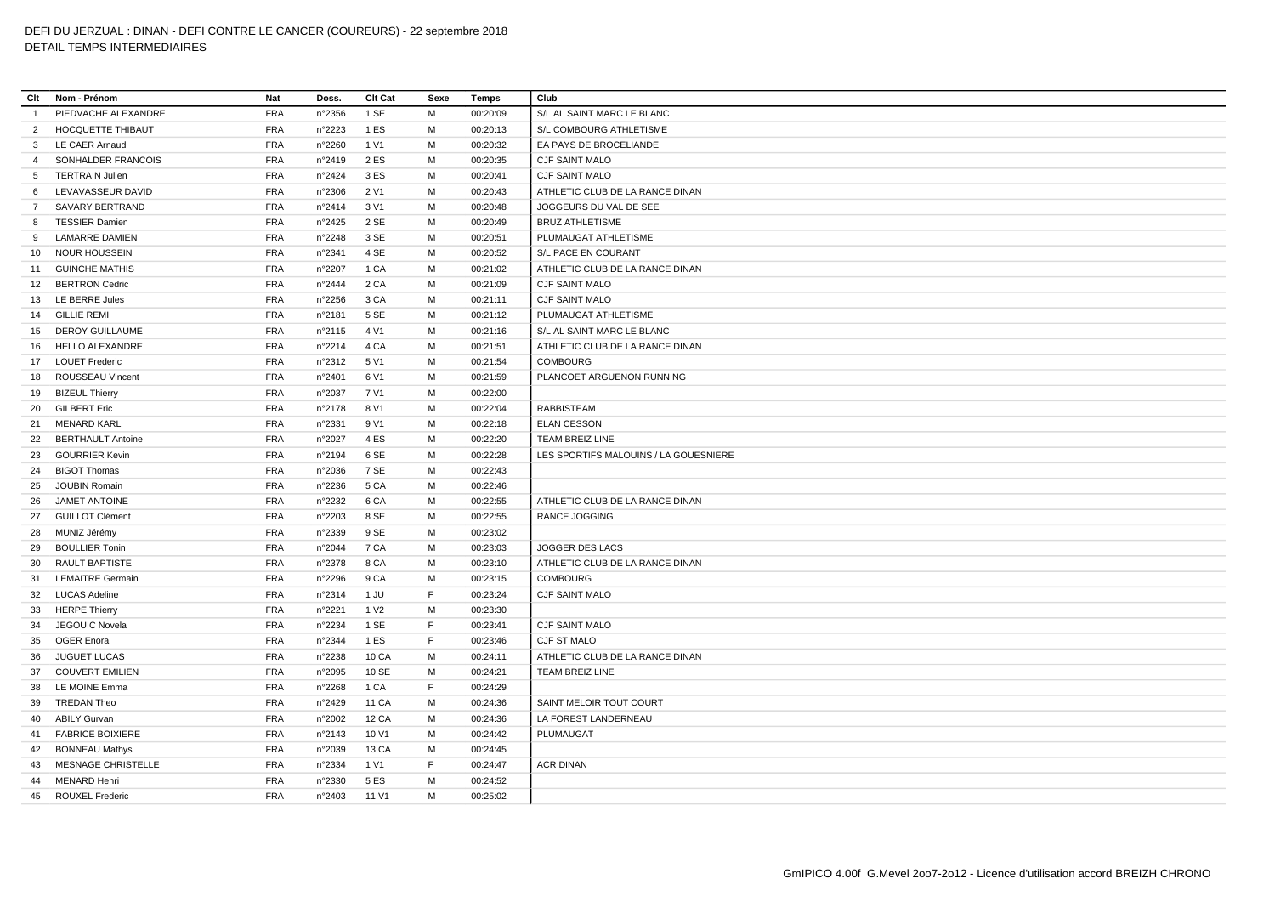| Clt            | Nom - Prénom             | Nat        | Doss.  | Clt Cat          | Sexe | Temps    | Club                                  |
|----------------|--------------------------|------------|--------|------------------|------|----------|---------------------------------------|
| $\overline{1}$ | PIEDVACHE ALEXANDRE      | <b>FRA</b> | n°2356 | 1 SE             | M    | 00:20:09 | S/L AL SAINT MARC LE BLANC            |
| $\overline{2}$ | HOCQUETTE THIBAUT        | <b>FRA</b> | n°2223 | 1 ES             | м    | 00:20:13 | S/L COMBOURG ATHLETISME               |
| 3              | LE CAER Arnaud           | <b>FRA</b> | n°2260 | 1 V1             | M    | 00:20:32 | EA PAYS DE BROCELIANDE                |
| $\overline{4}$ | SONHALDER FRANCOIS       | <b>FRA</b> | n°2419 | 2 ES             | M    | 00:20:35 | <b>CJF SAINT MALO</b>                 |
| 5              | <b>TERTRAIN Julien</b>   | <b>FRA</b> | n°2424 | 3 ES             | M    | 00:20:41 | <b>CJF SAINT MALO</b>                 |
| 6              | LEVAVASSEUR DAVID        | <b>FRA</b> | n°2306 | 2 V1             | M    | 00:20:43 | ATHLETIC CLUB DE LA RANCE DINAN       |
| $7^{\circ}$    | SAVARY BERTRAND          | <b>FRA</b> | n°2414 | 3 V1             | м    | 00:20:48 | JOGGEURS DU VAL DE SEE                |
| 8              | <b>TESSIER Damien</b>    | <b>FRA</b> | n°2425 | 2 SE             | M    | 00:20:49 | <b>BRUZ ATHLETISME</b>                |
| 9              | <b>LAMARRE DAMIEN</b>    | <b>FRA</b> | n°2248 | 3 SE             | м    | 00:20:51 | PLUMAUGAT ATHLETISME                  |
| 10             | <b>NOUR HOUSSEIN</b>     | <b>FRA</b> | n°2341 | 4 SE             | м    | 00:20:52 | S/L PACE EN COURANT                   |
| 11             | <b>GUINCHE MATHIS</b>    | <b>FRA</b> | n°2207 | 1 CA             | м    | 00:21:02 | ATHLETIC CLUB DE LA RANCE DINAN       |
| 12             | <b>BERTRON Cedric</b>    | <b>FRA</b> | n°2444 | 2 CA             | M    | 00:21:09 | <b>CJF SAINT MALO</b>                 |
|                | 13 LE BERRE Jules        | <b>FRA</b> | n°2256 | 3 CA             | M    | 00:21:11 | CJF SAINT MALO                        |
| 14             | <b>GILLIE REMI</b>       | <b>FRA</b> | n°2181 | 5 SE             | M    | 00:21:12 | PLUMAUGAT ATHLETISME                  |
| 15             | <b>DEROY GUILLAUME</b>   | <b>FRA</b> | n°2115 | 4 V1             | M    | 00:21:16 | S/L AL SAINT MARC LE BLANC            |
| 16             | HELLO ALEXANDRE          | <b>FRA</b> | n°2214 | 4 CA             | м    | 00:21:51 | ATHLETIC CLUB DE LA RANCE DINAN       |
|                | 17 LOUET Frederic        | <b>FRA</b> | n°2312 | 5 V1             | M    | 00:21:54 | <b>COMBOURG</b>                       |
| 18             | <b>ROUSSEAU Vincent</b>  | <b>FRA</b> | n°2401 | 6 V1             | м    | 00:21:59 | PLANCOET ARGUENON RUNNING             |
| 19             | <b>BIZEUL Thierry</b>    | <b>FRA</b> | n°2037 | 7 V1             | M    | 00:22:00 |                                       |
| 20             | <b>GILBERT Eric</b>      | <b>FRA</b> | n°2178 | 8 V1             | M    | 00:22:04 | <b>RABBISTEAM</b>                     |
| 21             | <b>MENARD KARL</b>       | <b>FRA</b> | n°2331 | 9 V1             | M    | 00:22:18 | <b>ELAN CESSON</b>                    |
| 22             | <b>BERTHAULT Antoine</b> | <b>FRA</b> | n°2027 | 4 ES             | M    | 00:22:20 | TEAM BREIZ LINE                       |
| 23             | <b>GOURRIER Kevin</b>    | <b>FRA</b> | n°2194 | 6 SE             | M    | 00:22:28 | LES SPORTIFS MALOUINS / LA GOUESNIERE |
| 24             | <b>BIGOT Thomas</b>      | <b>FRA</b> | n°2036 | 7 SE             | M    | 00:22:43 |                                       |
| 25             | <b>JOUBIN Romain</b>     | <b>FRA</b> | n°2236 | 5 CA             | м    | 00:22:46 |                                       |
| 26             | <b>JAMET ANTOINE</b>     | <b>FRA</b> | n°2232 | 6 CA             | M    | 00:22:55 | ATHLETIC CLUB DE LA RANCE DINAN       |
| 27             | <b>GUILLOT Clément</b>   | <b>FRA</b> | n°2203 | 8 SE             | M    | 00:22:55 | RANCE JOGGING                         |
| 28             | MUNIZ Jérémy             | <b>FRA</b> | n°2339 | 9 SE             | M    | 00:23:02 |                                       |
| 29             | <b>BOULLIER Tonin</b>    | <b>FRA</b> | n°2044 | 7 CA             | M    | 00:23:03 | JOGGER DES LACS                       |
| 30             | <b>RAULT BAPTISTE</b>    | <b>FRA</b> | n°2378 | 8 CA             | м    | 00:23:10 | ATHLETIC CLUB DE LA RANCE DINAN       |
| 31             | <b>LEMAITRE Germain</b>  | <b>FRA</b> | n°2296 | 9 CA             | м    | 00:23:15 | <b>COMBOURG</b>                       |
| 32             | <b>LUCAS Adeline</b>     | <b>FRA</b> | n°2314 | 1 JU             | F    | 00:23:24 | CJF SAINT MALO                        |
| 33             | <b>HERPE Thierry</b>     | <b>FRA</b> | n°2221 | 1 V <sub>2</sub> | м    | 00:23:30 |                                       |
| 34             | JEGOUIC Novela           | <b>FRA</b> | n°2234 | 1 SE             | F    | 00:23:41 | <b>CJF SAINT MALO</b>                 |
|                | 35 OGER Enora            | <b>FRA</b> | n°2344 | 1 ES             | F    | 00:23:46 | CJF ST MALO                           |
| 36             | <b>JUGUET LUCAS</b>      | <b>FRA</b> | n°2238 | 10 CA            | M    | 00:24:11 | ATHLETIC CLUB DE LA RANCE DINAN       |
| 37             | <b>COUVERT EMILIEN</b>   | <b>FRA</b> | n°2095 | 10 SE            | м    | 00:24:21 | TEAM BREIZ LINE                       |
|                | 38 LE MOINE Emma         | <b>FRA</b> | n°2268 | 1 CA             | F    | 00:24:29 |                                       |
| 39             | <b>TREDAN Theo</b>       | <b>FRA</b> | n°2429 | 11 CA            | м    | 00:24:36 | SAINT MELOIR TOUT COURT               |
| 40             | <b>ABILY Gurvan</b>      | <b>FRA</b> | n°2002 | <b>12 CA</b>     | M    | 00:24:36 | LA FOREST LANDERNEAU                  |
| 41             | <b>FABRICE BOIXIERE</b>  | <b>FRA</b> | n°2143 | 10 V1            | м    | 00:24:42 | PLUMAUGAT                             |
| 42             | <b>BONNEAU Mathys</b>    | <b>FRA</b> | n°2039 | 13 CA            | M    | 00:24:45 |                                       |
| 43             | MESNAGE CHRISTELLE       | <b>FRA</b> | n°2334 | 1 V1             | F    | 00:24:47 | <b>ACR DINAN</b>                      |
| 44             | <b>MENARD Henri</b>      | <b>FRA</b> | n°2330 | 5 ES             | M    | 00:24:52 |                                       |
| 45             | <b>ROUXEL Frederic</b>   | <b>FRA</b> | n°2403 | 11 V1            | M    | 00:25:02 |                                       |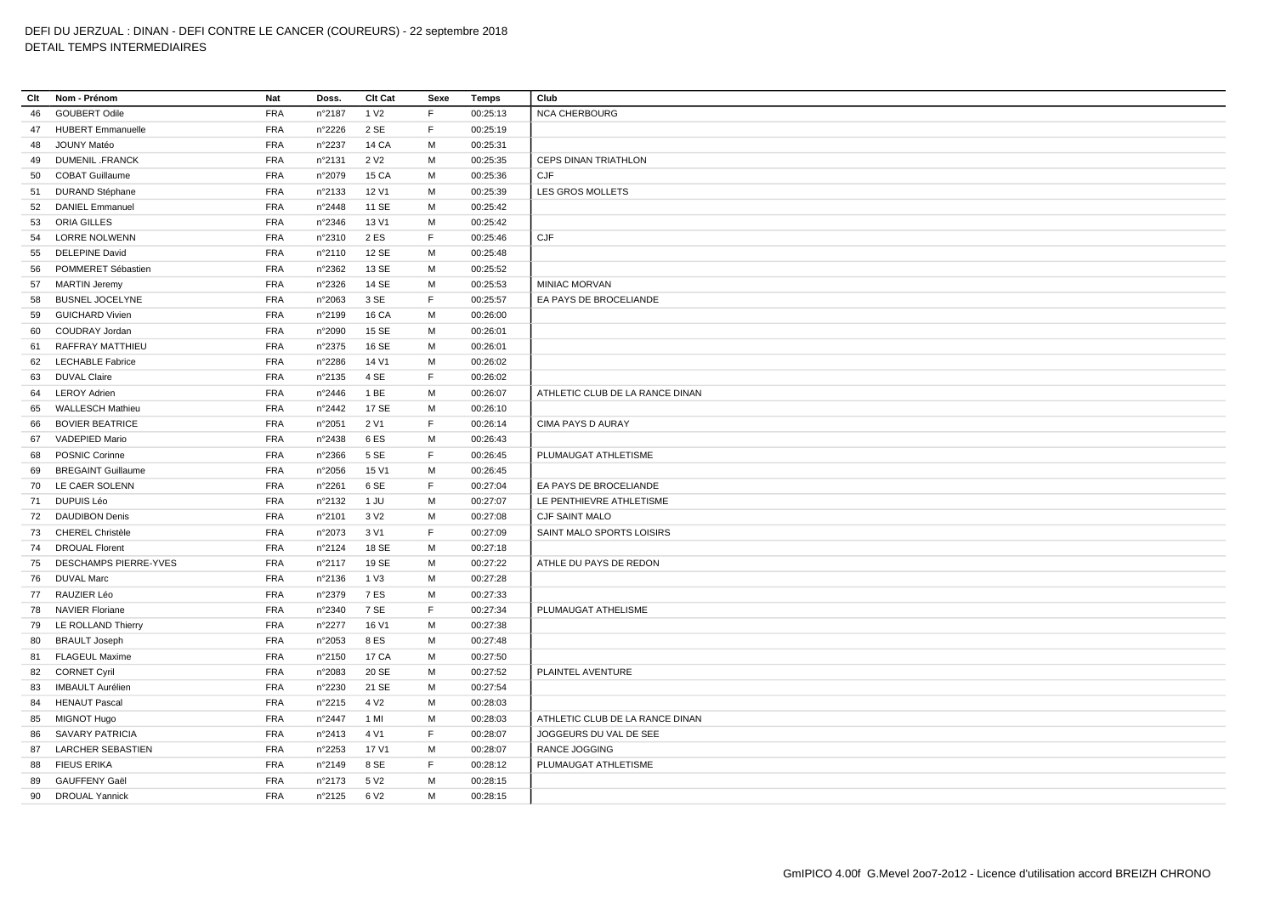| Clt | Nom - Prénom              | Nat        | Doss.           | Clt Cat          | Sexe | <b>Temps</b> | Club                            |
|-----|---------------------------|------------|-----------------|------------------|------|--------------|---------------------------------|
| 46  | <b>GOUBERT Odile</b>      | <b>FRA</b> | n°2187          | 1 V <sub>2</sub> | F    | 00:25:13     | <b>NCA CHERBOURG</b>            |
| 47  | <b>HUBERT Emmanuelle</b>  | <b>FRA</b> | n°2226          | 2 SE             | F    | 00:25:19     |                                 |
| 48  | JOUNY Matéo               | <b>FRA</b> | n°2237          | 14 CA            | M    | 00:25:31     |                                 |
| 49  | <b>DUMENIL .FRANCK</b>    | <b>FRA</b> | n°2131          | 2 V <sub>2</sub> | M    | 00:25:35     | <b>CEPS DINAN TRIATHLON</b>     |
| 50  | <b>COBAT Guillaume</b>    | <b>FRA</b> | n°2079          | 15 CA            | M    | 00:25:36     | CJF                             |
| 51  | <b>DURAND Stéphane</b>    | <b>FRA</b> | n°2133          | 12 V1            | M    | 00:25:39     | LES GROS MOLLETS                |
| 52  | <b>DANIEL Emmanuel</b>    | <b>FRA</b> | n°2448          | 11 SE            | M    | 00:25:42     |                                 |
| 53  | ORIA GILLES               | <b>FRA</b> | n°2346          | 13 V1            | M    | 00:25:42     |                                 |
|     | 54 LORRE NOLWENN          | <b>FRA</b> | n°2310          | 2 ES             | F    | 00:25:46     | CJF                             |
| 55  | <b>DELEPINE David</b>     | <b>FRA</b> | n°2110          | 12 SE            | M    | 00:25:48     |                                 |
| 56  | POMMERET Sébastien        | <b>FRA</b> | n°2362          | 13 SE            | M    | 00:25:52     |                                 |
|     | 57 MARTIN Jeremy          | <b>FRA</b> | n°2326          | 14 SE            | M    | 00:25:53     | MINIAC MORVAN                   |
| 58  | <b>BUSNEL JOCELYNE</b>    | <b>FRA</b> | n°2063          | 3 SE             | F.   | 00:25:57     | EA PAYS DE BROCELIANDE          |
| 59  | <b>GUICHARD Vivien</b>    | <b>FRA</b> | n°2199          | 16 CA            | M    | 00:26:00     |                                 |
| 60  | COUDRAY Jordan            | <b>FRA</b> | n°2090          | 15 SE            | М    | 00:26:01     |                                 |
| 61  | RAFFRAY MATTHIEU          | <b>FRA</b> | n°2375          | 16 SE            | M    | 00:26:01     |                                 |
| 62  | <b>LECHABLE Fabrice</b>   | <b>FRA</b> | n°2286          | 14 V1            | M    | 00:26:02     |                                 |
| 63  | <b>DUVAL Claire</b>       | <b>FRA</b> | n°2135          | 4 SE             | F    | 00:26:02     |                                 |
| 64  | <b>LEROY Adrien</b>       | <b>FRA</b> | n°2446          | 1 BE             | M    | 00:26:07     | ATHLETIC CLUB DE LA RANCE DINAN |
| 65  | <b>WALLESCH Mathieu</b>   | <b>FRA</b> | n°2442          | 17 SE            | M    | 00:26:10     |                                 |
| 66  | <b>BOVIER BEATRICE</b>    | <b>FRA</b> | n°2051          | 2 V1             | F    | 00:26:14     | CIMA PAYS D AURAY               |
| 67  | VADEPIED Mario            | <b>FRA</b> | n°2438          | 6ES              | M    | 00:26:43     |                                 |
| 68  | <b>POSNIC Corinne</b>     | <b>FRA</b> | n°2366          | 5 SE             | F    | 00:26:45     | PLUMAUGAT ATHLETISME            |
| 69  | <b>BREGAINT Guillaume</b> | <b>FRA</b> | n°2056          | 15 V1            | M    | 00:26:45     |                                 |
|     | 70 LE CAER SOLENN         | <b>FRA</b> | n°2261          | 6 SE             | F    | 00:27:04     | EA PAYS DE BROCELIANDE          |
|     | 71 DUPUIS Léo             | <b>FRA</b> | n°2132          | 1 JU             | M    | 00:27:07     | LE PENTHIEVRE ATHLETISME        |
|     | 72 DAUDIBON Denis         | <b>FRA</b> | n°2101          | 3 V <sub>2</sub> | M    | 00:27:08     | CJF SAINT MALO                  |
|     | 73 CHEREL Christèle       | <b>FRA</b> | n°2073          | 3 V1             | F    | 00:27:09     | SAINT MALO SPORTS LOISIRS       |
|     | 74 DROUAL Florent         | <b>FRA</b> | n°2124          | 18 SE            | M    | 00:27:18     |                                 |
|     | 75 DESCHAMPS PIERRE-YVES  | <b>FRA</b> | n°2117          | 19 SE            | M    | 00:27:22     | ATHLE DU PAYS DE REDON          |
| 76  | <b>DUVAL Marc</b>         | <b>FRA</b> | n°2136          | 1 V3             | M    | 00:27:28     |                                 |
|     | 77 RAUZIER Léo            | <b>FRA</b> | n°2379          | <b>7 ES</b>      | M    | 00:27:33     |                                 |
|     | 78 NAVIER Floriane        | <b>FRA</b> | n°2340          | 7 SE             | F    | 00:27:34     | PLUMAUGAT ATHELISME             |
|     | 79 LE ROLLAND Thierry     | <b>FRA</b> | n°2277          | 16 V1            | M    | 00:27:38     |                                 |
| 80  | <b>BRAULT Joseph</b>      | <b>FRA</b> | n°2053          | 8 ES             | M    | 00:27:48     |                                 |
|     | 81 FLAGEUL Maxime         | <b>FRA</b> | n°2150          | 17 CA            | M    | 00:27:50     |                                 |
| 82  | <b>CORNET Cyril</b>       | <b>FRA</b> | n°2083          | 20 SE            | M    | 00:27:52     | PLAINTEL AVENTURE               |
| 83  | <b>IMBAULT Aurélien</b>   | <b>FRA</b> | n°2230          | 21 SE            | M    | 00:27:54     |                                 |
| 84  | <b>HENAUT Pascal</b>      | <b>FRA</b> | n°2215          | 4 V <sub>2</sub> | M    | 00:28:03     |                                 |
| 85  | MIGNOT Hugo               | <b>FRA</b> | n°2447          | 1 MI             | M    | 00:28:03     | ATHLETIC CLUB DE LA RANCE DINAN |
| 86  | <b>SAVARY PATRICIA</b>    | <b>FRA</b> | n°2413          | 4 V1             | F    | 00:28:07     | JOGGEURS DU VAL DE SEE          |
| 87  | <b>LARCHER SEBASTIEN</b>  | <b>FRA</b> | n°2253          | 17 V1            | M    | 00:28:07     | RANCE JOGGING                   |
| 88  | FIEUS ERIKA               | <b>FRA</b> | n°2149          | 8 SE             | F    | 00:28:12     | PLUMAUGAT ATHLETISME            |
| 89  | <b>GAUFFENY Gaël</b>      | <b>FRA</b> | $n^{\circ}2173$ | 5 V <sub>2</sub> | M    | 00:28:15     |                                 |
| 90  | <b>DROUAL Yannick</b>     | <b>FRA</b> | n°2125          | 6 V <sub>2</sub> | M    | 00:28:15     |                                 |
|     |                           |            |                 |                  |      |              |                                 |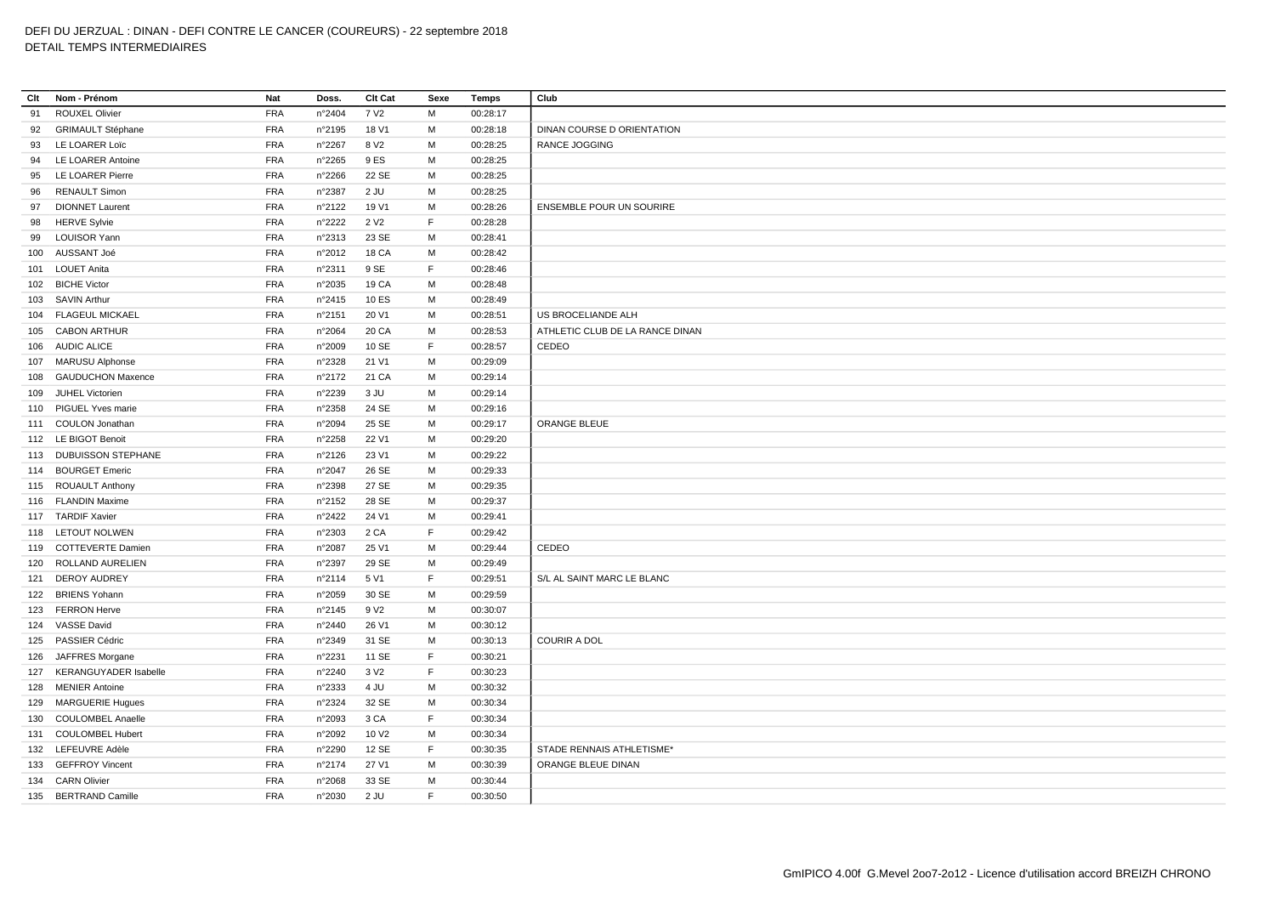| Clt | Nom - Prénom                 | Nat        | Doss.           | Clt Cat           | Sexe        | <b>Temps</b> | Club                              |
|-----|------------------------------|------------|-----------------|-------------------|-------------|--------------|-----------------------------------|
| 91  | <b>ROUXEL Olivier</b>        | <b>FRA</b> | n°2404          | 7 V <sub>2</sub>  | M           | 00:28:17     |                                   |
| 92  | <b>GRIMAULT Stéphane</b>     | <b>FRA</b> | n°2195          | 18 V1             | М           | 00:28:18     | <b>DINAN COURSE D ORIENTATION</b> |
| 93  | LE LOARER Loïc               | <b>FRA</b> | n°2267          | 8 V <sub>2</sub>  | М           | 00:28:25     | RANCE JOGGING                     |
| 94  | LE LOARER Antoine            | <b>FRA</b> | n°2265          | 9 ES              | M           | 00:28:25     |                                   |
| 95  | LE LOARER Pierre             | <b>FRA</b> | n°2266          | 22 SE             | М           | 00:28:25     |                                   |
| 96  | <b>RENAULT Simon</b>         | <b>FRA</b> | n°2387          | $2$ JU            | M           | 00:28:25     |                                   |
| 97  | <b>DIONNET Laurent</b>       | <b>FRA</b> | n°2122          | 19 V1             | М           | 00:28:26     | <b>ENSEMBLE POUR UN SOURIRE</b>   |
| 98  | <b>HERVE Sylvie</b>          | <b>FRA</b> | n°2222          | 2 V <sub>2</sub>  | F.          | 00:28:28     |                                   |
| 99  | <b>LOUISOR Yann</b>          | <b>FRA</b> | n°2313          | 23 SE             | М           | 00:28:41     |                                   |
|     | 100 AUSSANT Joé              | <b>FRA</b> | n°2012          | <b>18 CA</b>      | М           | 00:28:42     |                                   |
|     | 101 LOUET Anita              | <b>FRA</b> | n°2311          | 9 SE              | $\mathsf F$ | 00:28:46     |                                   |
|     | 102 BICHE Victor             | FRA        | n°2035          | 19 CA             | М           | 00:28:48     |                                   |
|     | 103 SAVIN Arthur             | <b>FRA</b> | $n^{\circ}2415$ | 10 ES             | М           | 00:28:49     |                                   |
|     | 104 FLAGEUL MICKAEL          | <b>FRA</b> | n°2151          | 20 V1             | М           | 00:28:51     | US BROCELIANDE ALH                |
|     | 105 CABON ARTHUR             | <b>FRA</b> | n°2064          | 20 CA             | М           | 00:28:53     | ATHLETIC CLUB DE LA RANCE DINAN   |
|     | 106 AUDIC ALICE              | <b>FRA</b> | n°2009          | 10 SE             | F.          | 00:28:57     | CEDEO                             |
|     | 107 MARUSU Alphonse          | <b>FRA</b> | n°2328          | 21 V1             | М           | 00:29:09     |                                   |
| 108 | <b>GAUDUCHON Maxence</b>     | FRA        | n°2172          | 21 CA             | M           | 00:29:14     |                                   |
| 109 | JUHEL Victorien              | <b>FRA</b> | n°2239          | 3 JU              | M           | 00:29:14     |                                   |
|     | 110 PIGUEL Yves marie        | <b>FRA</b> | n°2358          | 24 SE             | М           | 00:29:16     |                                   |
|     | 111 COULON Jonathan          | <b>FRA</b> | n°2094          | 25 SE             | М           | 00:29:17     | ORANGE BLEUE                      |
|     | 112 LE BIGOT Benoit          | FRA        | n°2258          | 22 V1             | М           | 00:29:20     |                                   |
|     | 113 DUBUISSON STEPHANE       | <b>FRA</b> | n°2126          | 23 V1             | М           | 00:29:22     |                                   |
|     | 114 BOURGET Emeric           | <b>FRA</b> | n°2047          | 26 SE             | M           | 00:29:33     |                                   |
|     | 115 ROUAULT Anthony          | <b>FRA</b> | n°2398          | 27 SE             | М           | 00:29:35     |                                   |
|     | 116 FLANDIN Maxime           | FRA        | n°2152          | 28 SE             | M           | 00:29:37     |                                   |
|     | 117 TARDIF Xavier            | <b>FRA</b> | n°2422          | 24 V1             | М           | 00:29:41     |                                   |
|     | 118 LETOUT NOLWEN            | <b>FRA</b> | n°2303          | 2 CA              | E           | 00:29:42     |                                   |
|     | 119 COTTEVERTE Damien        | <b>FRA</b> | n°2087          | 25 V1             | М           | 00:29:44     | CEDEO                             |
| 120 | ROLLAND AURELIEN             | <b>FRA</b> | n°2397          | 29 SE             | М           | 00:29:49     |                                   |
| 121 | <b>DEROY AUDREY</b>          | <b>FRA</b> | n°2114          | 5 V1              | F.          | 00:29:51     | S/L AL SAINT MARC LE BLANC        |
| 122 | <b>BRIENS Yohann</b>         | <b>FRA</b> | n°2059          | 30 SE             | м           | 00:29:59     |                                   |
|     | 123 FERRON Herve             | <b>FRA</b> | n°2145          | 9 V <sub>2</sub>  | M           | 00:30:07     |                                   |
|     | 124 VASSE David              | <b>FRA</b> | n°2440          | 26 V1             | М           | 00:30:12     |                                   |
|     | 125 PASSIER Cédric           | <b>FRA</b> | n°2349          | 31 SE             | M           | 00:30:13     | <b>COURIR A DOL</b>               |
| 126 | JAFFRES Morgane              | <b>FRA</b> | n°2231          | 11 SE             | F.          | 00:30:21     |                                   |
| 127 | <b>KERANGUYADER Isabelle</b> | <b>FRA</b> | n°2240          | 3 V <sub>2</sub>  | F           | 00:30:23     |                                   |
|     | 128 MENIER Antoine           | <b>FRA</b> | n°2333          | 4 JU              | M           | 00:30:32     |                                   |
| 129 | <b>MARGUERIE Hugues</b>      | <b>FRA</b> | n°2324          | 32 SE             | М           | 00:30:34     |                                   |
| 130 | <b>COULOMBEL Anaelle</b>     | FRA        | n°2093          | 3 CA              | F           | 00:30:34     |                                   |
|     | 131 COULOMBEL Hubert         | <b>FRA</b> | n°2092          | 10 V <sub>2</sub> | M           | 00:30:34     |                                   |
|     | 132 LEFEUVRE Adèle           | <b>FRA</b> | n°2290          | 12 SE             | E           | 00:30:35     | STADE RENNAIS ATHLETISME*         |
|     | 133 GEFFROY Vincent          | <b>FRA</b> | n°2174          | 27 V1             | М           | 00:30:39     | ORANGE BLEUE DINAN                |
|     | 134 CARN Olivier             | <b>FRA</b> | n°2068          | 33 SE             | M           | 00:30:44     |                                   |
| 135 | <b>BERTRAND Camille</b>      | <b>FRA</b> | n°2030          | $2$ JU            | F.          | 00:30:50     |                                   |
|     |                              |            |                 |                   |             |              |                                   |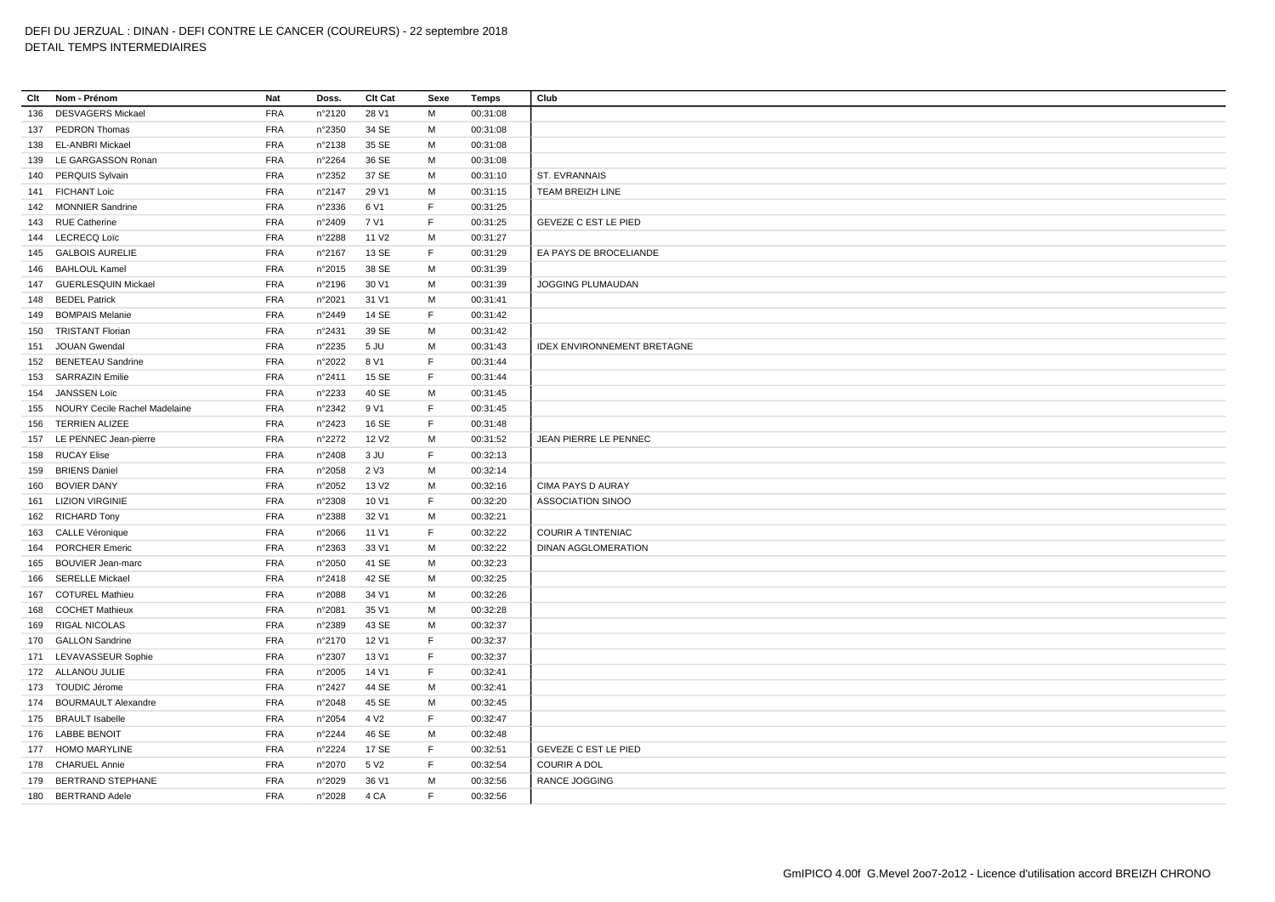| Clt | Nom - Prénom                      | Nat        | Doss.  | Clt Cat           | Sexe        | Temps    | Club                               |
|-----|-----------------------------------|------------|--------|-------------------|-------------|----------|------------------------------------|
| 136 | <b>DESVAGERS Mickael</b>          | <b>FRA</b> | n°2120 | 28 V1             | M           | 00:31:08 |                                    |
| 137 | PEDRON Thomas                     | <b>FRA</b> | n°2350 | 34 SE             | M           | 00:31:08 |                                    |
| 138 | EL-ANBRI Mickael                  | FRA        | n°2138 | 35 SE             | M           | 00:31:08 |                                    |
|     | 139 LE GARGASSON Ronan            | <b>FRA</b> | n°2264 | 36 SE             | М           | 00:31:08 |                                    |
|     | 140 PERQUIS Sylvain               | <b>FRA</b> | n°2352 | 37 SE             | M           | 00:31:10 | ST. EVRANNAIS                      |
|     | 141 FICHANT Loic                  | <b>FRA</b> | n°2147 | 29 V1             | M           | 00:31:15 | TEAM BREIZH LINE                   |
|     | 142 MONNIER Sandrine              | <b>FRA</b> | n°2336 | 6 V1              | $\mathsf F$ | 00:31:25 |                                    |
|     | 143 RUE Catherine                 | <b>FRA</b> | n°2409 | 7 V1              | F           | 00:31:25 | <b>GEVEZE C EST LE PIED</b>        |
|     | 144 LECRECQ Loïc                  | <b>FRA</b> | n°2288 | 11 V <sub>2</sub> | M           | 00:31:27 |                                    |
|     | 145 GALBOIS AURELIE               | <b>FRA</b> | n°2167 | 13 SE             | F           | 00:31:29 | EA PAYS DE BROCELIANDE             |
|     | 146 BAHLOUL Kamel                 | <b>FRA</b> | n°2015 | 38 SE             | M           | 00:31:39 |                                    |
|     | 147 GUERLESQUIN Mickael           | <b>FRA</b> | n°2196 | 30 V1             | M           | 00:31:39 | JOGGING PLUMAUDAN                  |
|     | 148 BEDEL Patrick                 | <b>FRA</b> | n°2021 | 31 V1             | М           | 00:31:41 |                                    |
| 149 | <b>BOMPAIS Melanie</b>            | <b>FRA</b> | n°2449 | 14 SE             | F           | 00:31:42 |                                    |
| 150 | <b>TRISTANT Florian</b>           | <b>FRA</b> | n°2431 | 39 SE             | M           | 00:31:42 |                                    |
|     | 151 JOUAN Gwendal                 | <b>FRA</b> | n°2235 | 5 JU              | M           | 00:31:43 | <b>IDEX ENVIRONNEMENT BRETAGNE</b> |
|     | 152 BENETEAU Sandrine             | <b>FRA</b> | n°2022 | 8 V1              | F.          | 00:31:44 |                                    |
| 153 | <b>SARRAZIN Emilie</b>            | <b>FRA</b> | n°2411 | 15 SE             | F           | 00:31:44 |                                    |
| 154 | JANSSEN Loïc                      | <b>FRA</b> | n°2233 | 40 SE             | M           | 00:31:45 |                                    |
|     | 155 NOURY Cecile Rachel Madelaine | <b>FRA</b> | n°2342 | 9 V1              | F           | 00:31:45 |                                    |
| 156 | <b>TERRIEN ALIZEE</b>             | <b>FRA</b> | n°2423 | 16 SE             | F           | 00:31:48 |                                    |
|     | 157 LE PENNEC Jean-pierre         | <b>FRA</b> | n°2272 | 12 V <sub>2</sub> | M           | 00:31:52 | JEAN PIERRE LE PENNEC              |
|     | 158 RUCAY Elise                   | <b>FRA</b> | n°2408 | 3 JU              | F.          | 00:32:13 |                                    |
|     | 159 BRIENS Daniel                 | <b>FRA</b> | n°2058 | 2 V3              | M           | 00:32:14 |                                    |
|     | 160 BOVIER DANY                   | <b>FRA</b> | n°2052 | 13 V <sub>2</sub> | М           | 00:32:16 | CIMA PAYS D AURAY                  |
|     | 161 LIZION VIRGINIE               | <b>FRA</b> | n°2308 | 10 V1             | F.          | 00:32:20 | <b>ASSOCIATION SINOO</b>           |
|     | 162 RICHARD Tony                  | <b>FRA</b> | n°2388 | 32 V1             | М           | 00:32:21 |                                    |
|     | 163 CALLE Véronique               | <b>FRA</b> | n°2066 | 11 V1             | F.          | 00:32:22 | <b>COURIR A TINTENIAC</b>          |
|     | 164 PORCHER Emeric                | FRA        | n°2363 | 33 V1             | M           | 00:32:22 | <b>DINAN AGGLOMERATION</b>         |
| 165 | <b>BOUVIER Jean-marc</b>          | <b>FRA</b> | n°2050 | 41 SE             | М           | 00:32:23 |                                    |
| 166 | <b>SERELLE Mickael</b>            | <b>FRA</b> | n°2418 | 42 SE             | M           | 00:32:25 |                                    |
| 167 | <b>COTUREL Mathieu</b>            | <b>FRA</b> | n°2088 | 34 V1             | M           | 00:32:26 |                                    |
|     | 168 COCHET Mathieux               | <b>FRA</b> | n°2081 | 35 V1             | M           | 00:32:28 |                                    |
|     | 169 RIGAL NICOLAS                 | <b>FRA</b> | n°2389 | 43 SE             | М           | 00:32:37 |                                    |
|     | 170 GALLON Sandrine               | <b>FRA</b> | n°2170 | 12 V1             | F           | 00:32:37 |                                    |
|     | 171 LEVAVASSEUR Sophie            | <b>FRA</b> | n°2307 | 13 V1             | F           | 00:32:37 |                                    |
|     | 172 ALLANOU JULIE                 | <b>FRA</b> | n°2005 | 14 V1             | $\mathsf F$ | 00:32:41 |                                    |
|     | 173 TOUDIC Jérome                 | <b>FRA</b> | n°2427 | 44 SE             | M           | 00:32:41 |                                    |
|     | 174 BOURMAULT Alexandre           | <b>FRA</b> | n°2048 | 45 SE             | M           | 00:32:45 |                                    |
|     | 175 BRAULT Isabelle               | <b>FRA</b> | n°2054 | 4 V <sub>2</sub>  | $\mathsf F$ | 00:32:47 |                                    |
|     | 176 LABBE BENOIT                  | <b>FRA</b> | n°2244 | 46 SE             | M           | 00:32:48 |                                    |
|     | 177 HOMO MARYLINE                 | <b>FRA</b> | n°2224 | 17 SE             | $\mathsf F$ | 00:32:51 | <b>GEVEZE C EST LE PIED</b>        |
|     | 178 CHARUEL Annie                 | <b>FRA</b> | n°2070 | 5 V <sub>2</sub>  | F.          | 00:32:54 | <b>COURIR A DOL</b>                |
|     | 179 BERTRAND STEPHANE             | <b>FRA</b> | n°2029 | 36 V1             | M           | 00:32:56 | RANCE JOGGING                      |
| 180 | <b>BERTRAND Adele</b>             | <b>FRA</b> | n°2028 | 4 CA              | F.          | 00:32:56 |                                    |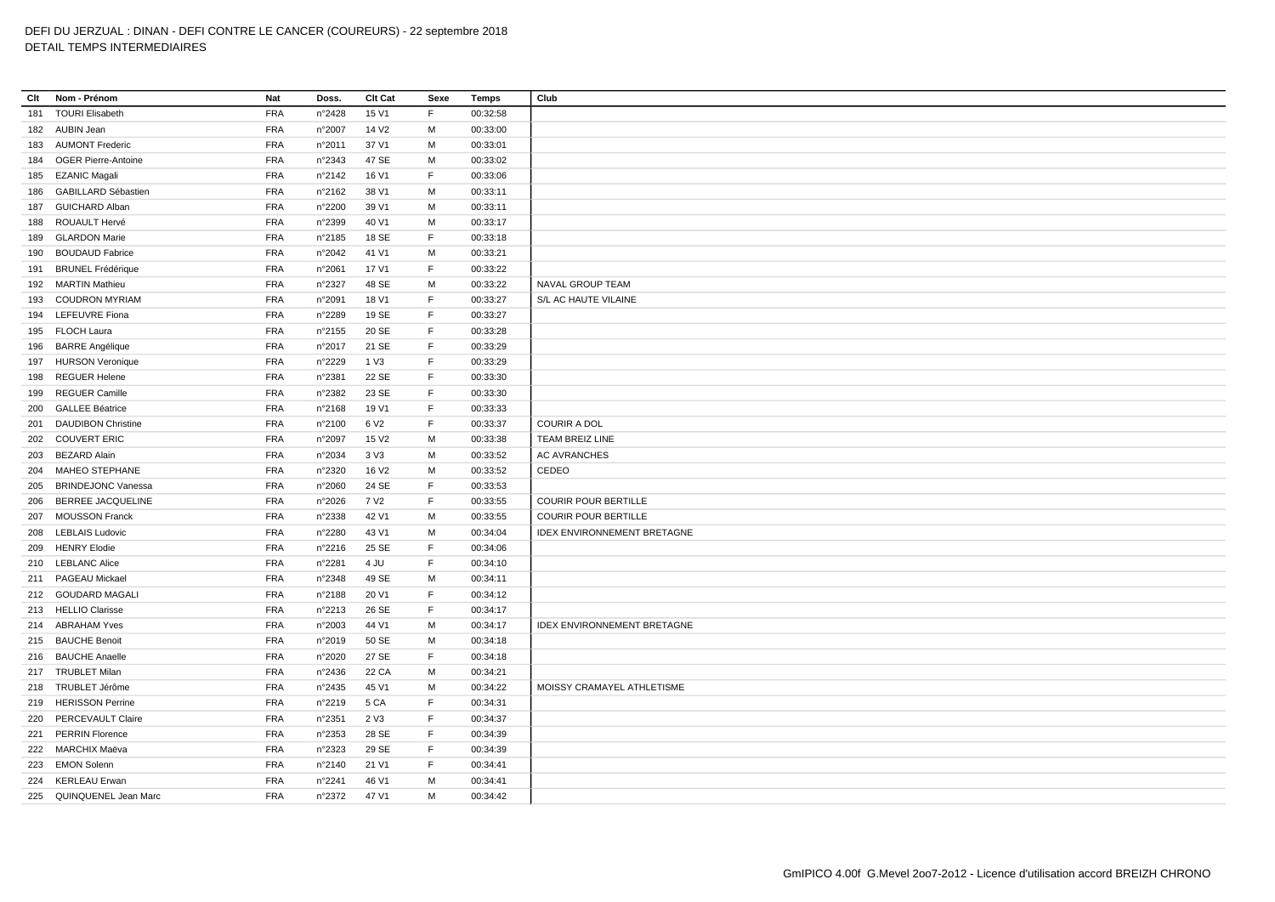| Clt | Nom - Prénom              | Nat        | Doss.  | Clt Cat           | Sexe        | Temps    | Club                               |
|-----|---------------------------|------------|--------|-------------------|-------------|----------|------------------------------------|
| 181 | <b>TOURI Elisabeth</b>    | <b>FRA</b> | n°2428 | 15 V1             | F           | 00:32:58 |                                    |
|     | 182 AUBIN Jean            | <b>FRA</b> | n°2007 | 14 V <sub>2</sub> | M           | 00:33:00 |                                    |
|     | 183 AUMONT Frederic       | <b>FRA</b> | n°2011 | 37 V1             | M           | 00:33:01 |                                    |
|     | 184 OGER Pierre-Antoine   | <b>FRA</b> | n°2343 | 47 SE             | M           | 00:33:02 |                                    |
|     | 185 EZANIC Magali         | <b>FRA</b> | n°2142 | 16 V1             | F           | 00:33:06 |                                    |
| 186 | GABILLARD Sébastien       | <b>FRA</b> | n°2162 | 38 V1             | M           | 00:33:11 |                                    |
| 187 | <b>GUICHARD Alban</b>     | <b>FRA</b> | n°2200 | 39 V1             | M           | 00:33:11 |                                    |
|     | 188 ROUAULT Hervé         | <b>FRA</b> | n°2399 | 40 V1             | M           | 00:33:17 |                                    |
| 189 | <b>GLARDON Marie</b>      | <b>FRA</b> | n°2185 | 18 SE             | $\mathsf F$ | 00:33:18 |                                    |
| 190 | <b>BOUDAUD Fabrice</b>    | <b>FRA</b> | n°2042 | 41 V1             | M           | 00:33:21 |                                    |
| 191 | <b>BRUNEL Frédérique</b>  | <b>FRA</b> | n°2061 | 17 V1             | $\mathsf F$ | 00:33:22 |                                    |
|     | 192 MARTIN Mathieu        | <b>FRA</b> | n°2327 | 48 SE             | M           | 00:33:22 | NAVAL GROUP TEAM                   |
|     | 193 COUDRON MYRIAM        | <b>FRA</b> | n°2091 | 18 V1             | $\mathsf F$ | 00:33:27 | S/L AC HAUTE VILAINE               |
| 194 | <b>LEFEUVRE</b> Fiona     | <b>FRA</b> | n°2289 | 19 SE             | F           | 00:33:27 |                                    |
|     | 195 FLOCH Laura           | <b>FRA</b> | n°2155 | 20 SE             | F           | 00:33:28 |                                    |
|     | 196 BARRE Angélique       | <b>FRA</b> | n°2017 | 21 SE             | F           | 00:33:29 |                                    |
|     | 197 HURSON Veronique      | <b>FRA</b> | n°2229 | 1 V3              | E           | 00:33:29 |                                    |
| 198 | <b>REGUER Helene</b>      | <b>FRA</b> | n°2381 | 22 SE             | F           | 00:33:30 |                                    |
| 199 | <b>REGUER Camille</b>     | <b>FRA</b> | n°2382 | 23 SE             | E           | 00:33:30 |                                    |
| 200 | <b>GALLEE Béatrice</b>    | <b>FRA</b> | n°2168 | 19 V1             | F           | 00:33:33 |                                    |
| 201 | <b>DAUDIBON Christine</b> | <b>FRA</b> | n°2100 | 6 V <sub>2</sub>  | F           | 00:33:37 | <b>COURIR A DOL</b>                |
|     | 202 COUVERT ERIC          | <b>FRA</b> | n°2097 | 15 V <sub>2</sub> | M           | 00:33:38 | TEAM BREIZ LINE                    |
|     | 203 BEZARD Alain          | <b>FRA</b> | n°2034 | 3 <sup>V</sup> 3  | M           | 00:33:52 | <b>AC AVRANCHES</b>                |
|     | 204 MAHEO STEPHANE        | <b>FRA</b> | n°2320 | 16 V <sub>2</sub> | M           | 00:33:52 | CEDEO                              |
| 205 | <b>BRINDEJONC Vanessa</b> | <b>FRA</b> | n°2060 | 24 SE             | F           | 00:33:53 |                                    |
| 206 | <b>BERREE JACQUELINE</b>  | <b>FRA</b> | n°2026 | 7 V <sub>2</sub>  | F           | 00:33:55 | <b>COURIR POUR BERTILLE</b>        |
| 207 | <b>MOUSSON Franck</b>     | <b>FRA</b> | n°2338 | 42 V1             | M           | 00:33:55 | <b>COURIR POUR BERTILLE</b>        |
|     | 208 LEBLAIS Ludovic       | <b>FRA</b> | n°2280 | 43 V1             | M           | 00:34:04 | <b>IDEX ENVIRONNEMENT BRETAGNE</b> |
| 209 | <b>HENRY Elodie</b>       | <b>FRA</b> | n°2216 | 25 SE             | $\mathsf F$ | 00:34:06 |                                    |
|     | 210 LEBLANC Alice         | <b>FRA</b> | n°2281 | 4 JU              | F           | 00:34:10 |                                    |
|     | 211 PAGEAU Mickael        | <b>FRA</b> | n°2348 | 49 SE             | M           | 00:34:11 |                                    |
|     | 212 GOUDARD MAGALI        | <b>FRA</b> | n°2188 | 20 V1             | F           | 00:34:12 |                                    |
|     | 213 HELLIO Clarisse       | <b>FRA</b> | n°2213 | 26 SE             | E           | 00:34:17 |                                    |
|     | 214 ABRAHAM Yves          | <b>FRA</b> | n°2003 | 44 V1             | M           | 00:34:17 | <b>IDEX ENVIRONNEMENT BRETAGNE</b> |
|     | 215 BAUCHE Benoit         | <b>FRA</b> | n°2019 | 50 SE             | M           | 00:34:18 |                                    |
|     | 216 BAUCHE Anaelle        | <b>FRA</b> | n°2020 | 27 SE             | F           | 00:34:18 |                                    |
|     | 217 TRUBLET Milan         | <b>FRA</b> | n°2436 | 22 CA             | M           | 00:34:21 |                                    |
|     | 218 TRUBLET Jérôme        | <b>FRA</b> | n°2435 | 45 V1             | M           | 00:34:22 | MOISSY CRAMAYEL ATHLETISME         |
|     | 219 HERISSON Perrine      | <b>FRA</b> | n°2219 | 5 CA              | F           | 00:34:31 |                                    |
| 220 | PERCEVAULT Claire         | <b>FRA</b> | n°2351 | 2 V3              | F           | 00:34:37 |                                    |
|     | 221 PERRIN Florence       | <b>FRA</b> | n°2353 | 28 SE             | E           | 00:34:39 |                                    |
|     | 222 MARCHIX Maëva         | <b>FRA</b> | n°2323 | 29 SE             | E           | 00:34:39 |                                    |
|     | 223 EMON Solenn           | <b>FRA</b> | n°2140 | 21 V1             | E           | 00:34:41 |                                    |
|     | 224 KERLEAU Erwan         | <b>FRA</b> | n°2241 | 46 V1             | M           | 00:34:41 |                                    |
|     | 225 QUINQUENEL Jean Marc  | <b>FRA</b> | n°2372 | 47 V1             | M           | 00:34:42 |                                    |
|     |                           |            |        |                   |             |          |                                    |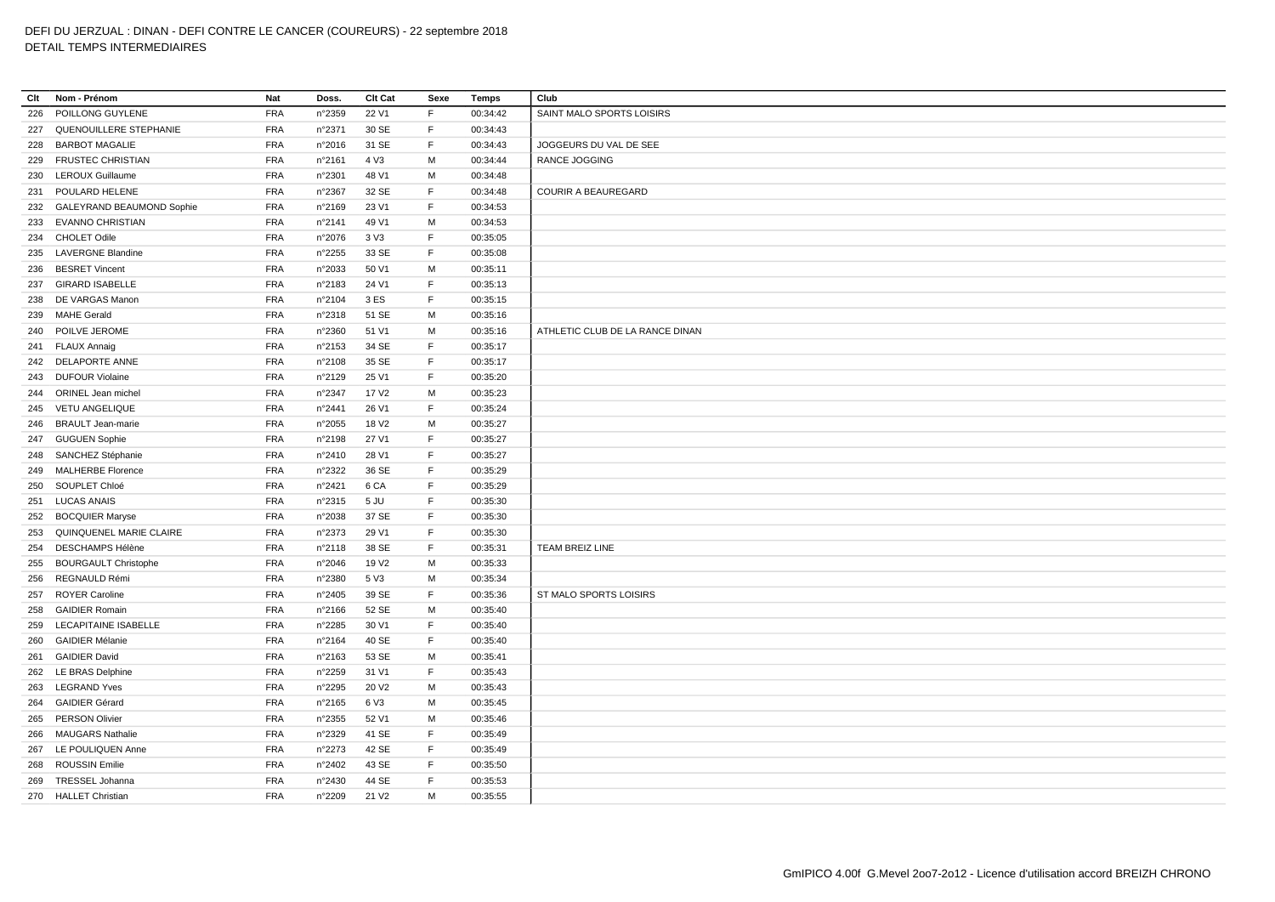| Clt | Nom - Prénom                | Nat        | Doss.  | Clt Cat           | Sexe        | Temps    | Club                            |
|-----|-----------------------------|------------|--------|-------------------|-------------|----------|---------------------------------|
| 226 | POILLONG GUYLENE            | <b>FRA</b> | n°2359 | 22 V1             | F           | 00:34:42 | SAINT MALO SPORTS LOISIRS       |
| 227 | QUENOUILLERE STEPHANIE      | <b>FRA</b> | n°2371 | 30 SE             | F           | 00:34:43 |                                 |
| 228 | <b>BARBOT MAGALIE</b>       | <b>FRA</b> | n°2016 | 31 SE             | F           | 00:34:43 | JOGGEURS DU VAL DE SEE          |
| 229 | <b>FRUSTEC CHRISTIAN</b>    | FRA        | n°2161 | 4 V3              | M           | 00:34:44 | RANCE JOGGING                   |
|     |                             | <b>FRA</b> |        |                   | M           |          |                                 |
|     | 230 LEROUX Guillaume        |            | n°2301 | 48 V1             | F           | 00:34:48 |                                 |
|     | 231 POULARD HELENE          | <b>FRA</b> | n°2367 | 32 SE             | F           | 00:34:48 | COURIR A BEAUREGARD             |
| 232 | GALEYRAND BEAUMOND Sophie   | <b>FRA</b> | n°2169 | 23 V1             |             | 00:34:53 |                                 |
|     | 233 EVANNO CHRISTIAN        | <b>FRA</b> | n°2141 | 49 V1             | м           | 00:34:53 |                                 |
| 234 | <b>CHOLET Odile</b>         | <b>FRA</b> | n°2076 | 3 V3              | F           | 00:35:05 |                                 |
|     | 235 LAVERGNE Blandine       | <b>FRA</b> | n°2255 | 33 SE             | F           | 00:35:08 |                                 |
| 236 | <b>BESRET Vincent</b>       | <b>FRA</b> | n°2033 | 50 V1             | M           | 00:35:11 |                                 |
| 237 | <b>GIRARD ISABELLE</b>      | <b>FRA</b> | n°2183 | 24 V1             | F           | 00:35:13 |                                 |
| 238 | DE VARGAS Manon             | <b>FRA</b> | n°2104 | 3 ES              | $\mathsf F$ | 00:35:15 |                                 |
| 239 | MAHE Gerald                 | <b>FRA</b> | n°2318 | 51 SE             | M           | 00:35:16 |                                 |
|     | 240 POILVE JEROME           | <b>FRA</b> | n°2360 | 51 V1             | M           | 00:35:16 | ATHLETIC CLUB DE LA RANCE DINAN |
|     | 241 FLAUX Annaig            | <b>FRA</b> | n°2153 | 34 SE             | F           | 00:35:17 |                                 |
|     | 242 DELAPORTE ANNE          | <b>FRA</b> | n°2108 | 35 SE             | $\mathsf F$ | 00:35:17 |                                 |
|     | 243 DUFOUR Violaine         | <b>FRA</b> | n°2129 | 25 V1             | F           | 00:35:20 |                                 |
|     | 244 ORINEL Jean michel      | <b>FRA</b> | n°2347 | 17 V <sub>2</sub> | M           | 00:35:23 |                                 |
| 245 | <b>VETU ANGELIQUE</b>       | <b>FRA</b> | n°2441 | 26 V1             | F           | 00:35:24 |                                 |
|     | 246 BRAULT Jean-marie       | <b>FRA</b> | n°2055 | 18 V <sub>2</sub> | м           | 00:35:27 |                                 |
|     | 247 GUGUEN Sophie           | <b>FRA</b> | n°2198 | 27 V1             | F           | 00:35:27 |                                 |
|     | 248 SANCHEZ Stéphanie       | <b>FRA</b> | n°2410 | 28 V1             | F           | 00:35:27 |                                 |
| 249 | <b>MALHERBE Florence</b>    | <b>FRA</b> | n°2322 | 36 SE             | $\mathsf F$ | 00:35:29 |                                 |
| 250 | SOUPLET Chloé               | FRA        | n°2421 | 6 CA              | E           | 00:35:29 |                                 |
|     | 251 LUCAS ANAIS             | <b>FRA</b> | n°2315 | 5 JU              | $\mathsf F$ | 00:35:30 |                                 |
|     | 252 BOCQUIER Maryse         | <b>FRA</b> | n°2038 | 37 SE             | F           | 00:35:30 |                                 |
| 253 | QUINQUENEL MARIE CLAIRE     | <b>FRA</b> | n°2373 | 29 V1             | F           | 00:35:30 |                                 |
| 254 | <b>DESCHAMPS Hélène</b>     | FRA        | n°2118 | 38 SE             | F           | 00:35:31 | <b>TEAM BREIZ LINE</b>          |
| 255 | <b>BOURGAULT Christophe</b> | <b>FRA</b> | n°2046 | 19 V <sub>2</sub> | м           | 00:35:33 |                                 |
| 256 | REGNAULD Rémi               | <b>FRA</b> | n°2380 | 5 V3              | M           | 00:35:34 |                                 |
| 257 | <b>ROYER Caroline</b>       | <b>FRA</b> | n°2405 | 39 SE             | F           | 00:35:36 | ST MALO SPORTS LOISIRS          |
| 258 | <b>GAIDIER Romain</b>       | <b>FRA</b> | n°2166 | 52 SE             | M           | 00:35:40 |                                 |
| 259 | <b>LECAPITAINE ISABELLE</b> | <b>FRA</b> | n°2285 | 30 V1             | F           | 00:35:40 |                                 |
| 260 | <b>GAIDIER Mélanie</b>      | <b>FRA</b> | n°2164 | 40 SE             | F           | 00:35:40 |                                 |
|     | 261 GAIDIER David           | <b>FRA</b> | n°2163 | 53 SE             | M           | 00:35:41 |                                 |
| 262 | <b>LE BRAS Delphine</b>     | <b>FRA</b> | n°2259 | 31 V1             | F           | 00:35:43 |                                 |
| 263 | <b>LEGRAND Yves</b>         | FRA        | n°2295 | 20 V <sub>2</sub> | M           | 00:35:43 |                                 |
|     | <b>GAIDIER Gérard</b>       | <b>FRA</b> |        | 6 V3              | M           |          |                                 |
| 264 | 265 PERSON Olivier          | <b>FRA</b> | n°2165 | 52 V1             | м           | 00:35:45 |                                 |
|     |                             |            | n°2355 |                   |             | 00:35:46 |                                 |
| 266 | <b>MAUGARS Nathalie</b>     | <b>FRA</b> | n°2329 | 41 SE             | F           | 00:35:49 |                                 |
| 267 | LE POULIQUEN Anne           | <b>FRA</b> | n°2273 | 42 SE             | F           | 00:35:49 |                                 |
| 268 | <b>ROUSSIN Emilie</b>       | <b>FRA</b> | n°2402 | 43 SE             | F           | 00:35:50 |                                 |
| 269 | <b>TRESSEL Johanna</b>      | <b>FRA</b> | n°2430 | 44 SE             | F           | 00:35:53 |                                 |
|     | 270 HALLET Christian        | <b>FRA</b> | n°2209 | 21 V <sub>2</sub> | M           | 00:35:55 |                                 |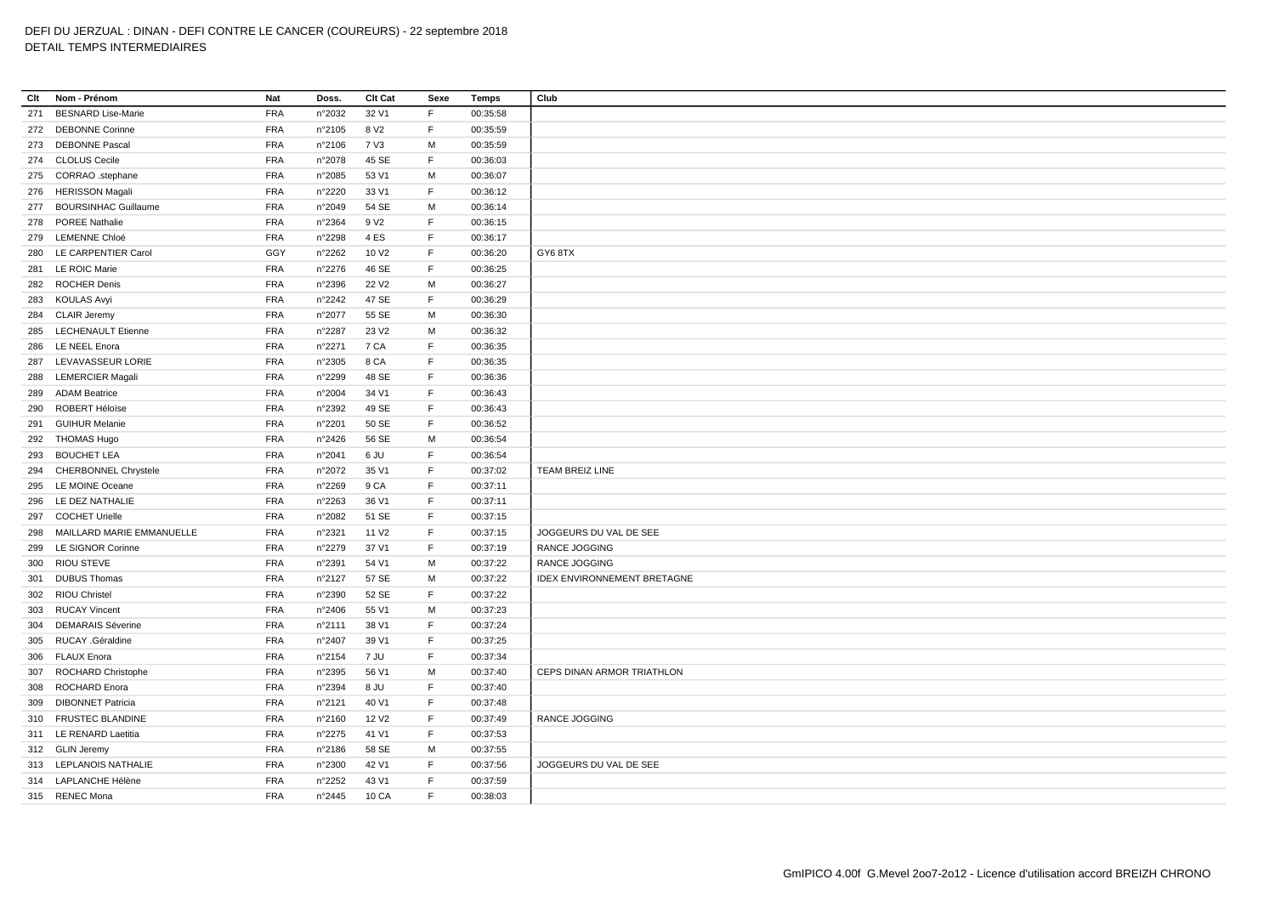| Clt | Nom - Prénom              | Nat        | Doss.            | Clt Cat           | Sexe        | <b>Temps</b>         | Club                        |
|-----|---------------------------|------------|------------------|-------------------|-------------|----------------------|-----------------------------|
| 271 | <b>BESNARD Lise-Marie</b> | <b>FRA</b> | n°2032           | 32 V1             | F           | 00:35:58             |                             |
|     | 272 DEBONNE Corinne       | <b>FRA</b> | n°2105           | 8 V <sub>2</sub>  | F.          | 00:35:59             |                             |
|     | 273 DEBONNE Pascal        | <b>FRA</b> | n°2106           | 7 V3              | м           | 00:35:59             |                             |
|     | 274 CLOLUS Cecile         | <b>FRA</b> | n°2078           | 45 SE             | F           | 00:36:03             |                             |
|     | 275 CORRAO .stephane      | <b>FRA</b> | n°2085           | 53 V1             | M           | 00:36:07             |                             |
|     | 276 HERISSON Magali       | <b>FRA</b> | n°2220           | 33 V1             | $\mathsf F$ | 00:36:12             |                             |
|     | 277 BOURSINHAC Guillaume  | <b>FRA</b> | n°2049           | 54 SE             | M           | 00:36:14             |                             |
| 278 | POREE Nathalie            | <b>FRA</b> | n°2364           | 9 V <sub>2</sub>  | F           | 00:36:15             |                             |
| 279 | <b>LEMENNE Chloé</b>      | <b>FRA</b> | n°2298           | 4ES               | F           | 00:36:17             |                             |
| 280 | LE CARPENTIER Carol       | GGY        | n°2262           | 10 V <sub>2</sub> | F.          | 00:36:20             | GY68TX                      |
|     | 281 LE ROIC Marie         | <b>FRA</b> | n°2276           | 46 SE             | F           | 00:36:25             |                             |
| 282 | <b>ROCHER Denis</b>       | <b>FRA</b> | n°2396           | 22 V <sub>2</sub> | M           | 00:36:27             |                             |
|     | 283 KOULAS Avyi           | <b>FRA</b> | n°2242           | 47 SE             | F           | 00:36:29             |                             |
| 284 | <b>CLAIR Jeremy</b>       | <b>FRA</b> | n°2077           | 55 SE             | M           | 00:36:30             |                             |
|     | 285 LECHENAULT Etienne    | <b>FRA</b> | n°2287           | 23 V <sub>2</sub> | M           | 00:36:32             |                             |
| 286 | <b>LE NEEL Enora</b>      | <b>FRA</b> | n°2271           | 7 CA              | F           | 00:36:35             |                             |
| 287 | LEVAVASSEUR LORIE         | <b>FRA</b> | n°2305           | 8 CA              | E           | 00:36:35             |                             |
| 288 | <b>LEMERCIER Magali</b>   | <b>FRA</b> | n°2299           | 48 SE             | F           | 00:36:36             |                             |
| 289 | <b>ADAM Beatrice</b>      | <b>FRA</b> | n°2004           | 34 V1             | F           | 00:36:43             |                             |
| 290 | ROBERT Héloïse            | <b>FRA</b> | n°2392           | 49 SE             | F           | 00:36:43             |                             |
| 291 | <b>GUIHUR Melanie</b>     | <b>FRA</b> | n°2201           | 50 SE             | F           | 00:36:52             |                             |
|     | 292 THOMAS Hugo           | <b>FRA</b> | n°2426           | 56 SE             | M           | 00:36:54             |                             |
| 293 | <b>BOUCHET LEA</b>        | <b>FRA</b> | n°2041           | 6 JU              | F           | 00:36:54             |                             |
|     | 294 CHERBONNEL Chrystele  | <b>FRA</b> | n°2072           | 35 V1             | $\mathsf F$ | 00:37:02             | <b>TEAM BREIZ LINE</b>      |
| 295 | LE MOINE Oceane           | <b>FRA</b> | n°2269           | 9 CA              | F           | 00:37:11             |                             |
|     | 296 LE DEZ NATHALIE       | <b>FRA</b> |                  |                   | F.          |                      |                             |
|     | <b>COCHET Urielle</b>     | <b>FRA</b> | n°2263<br>n°2082 | 36 V1<br>51 SE    | $\mathsf F$ | 00:37:11<br>00:37:15 |                             |
| 297 |                           |            |                  |                   | F           |                      |                             |
| 298 | MAILLARD MARIE EMMANUELLE | <b>FRA</b> | n°2321           | 11 V <sub>2</sub> |             | 00:37:15             | JOGGEURS DU VAL DE SEE      |
| 299 | LE SIGNOR Corinne         | <b>FRA</b> | n°2279           | 37 V1             | $\mathsf F$ | 00:37:19             | RANCE JOGGING               |
| 300 | <b>RIOU STEVE</b>         | <b>FRA</b> | n°2391           | 54 V1             | М           | 00:37:22             | <b>RANCE JOGGING</b>        |
| 301 | <b>DUBUS Thomas</b>       | <b>FRA</b> | n°2127           | 57 SE             | M           | 00:37:22             | IDEX ENVIRONNEMENT BRETAGNE |
|     | 302 RIOU Christel         | <b>FRA</b> | n°2390           | 52 SE             | F           | 00:37:22             |                             |
| 303 | <b>RUCAY Vincent</b>      | <b>FRA</b> | n°2406           | 55 V1             | M           | 00:37:23             |                             |
| 304 | <b>DEMARAIS Séverine</b>  | <b>FRA</b> | n°2111           | 38 V1             | F           | 00:37:24             |                             |
| 305 | RUCAY .Géraldine          | <b>FRA</b> | n°2407           | 39 V1             | $\mathsf F$ | 00:37:25             |                             |
|     | 306 FLAUX Enora           | <b>FRA</b> | n°2154           | 7 JU              | F           | 00:37:34             |                             |
|     | 307 ROCHARD Christophe    | <b>FRA</b> | n°2395           | 56 V1             | M           | 00:37:40             | CEPS DINAN ARMOR TRIATHLON  |
| 308 | <b>ROCHARD Enora</b>      | <b>FRA</b> | n°2394           | 8 JU              | F           | 00:37:40             |                             |
| 309 | <b>DIBONNET Patricia</b>  | <b>FRA</b> | n°2121           | 40 V1             | F           | 00:37:48             |                             |
| 310 | <b>FRUSTEC BLANDINE</b>   | <b>FRA</b> | n°2160           | 12 V <sub>2</sub> | F           | 00:37:49             | RANCE JOGGING               |
|     | 311 LE RENARD Laetitia    | <b>FRA</b> | n°2275           | 41 V1             | F           | 00:37:53             |                             |
|     | 312 GLIN Jeremy           | <b>FRA</b> | n°2186           | 58 SE             | M           | 00:37:55             |                             |
|     | 313 LEPLANOIS NATHALIE    | <b>FRA</b> | n°2300           | 42 V1             | F           | 00:37:56             | JOGGEURS DU VAL DE SEE      |
|     | 314 LAPLANCHE Hélène      | <b>FRA</b> | n°2252           | 43 V1             | F           | 00:37:59             |                             |
|     | 315 RENEC Mona            | <b>FRA</b> | n°2445           | 10 CA             | E           | 00:38:03             |                             |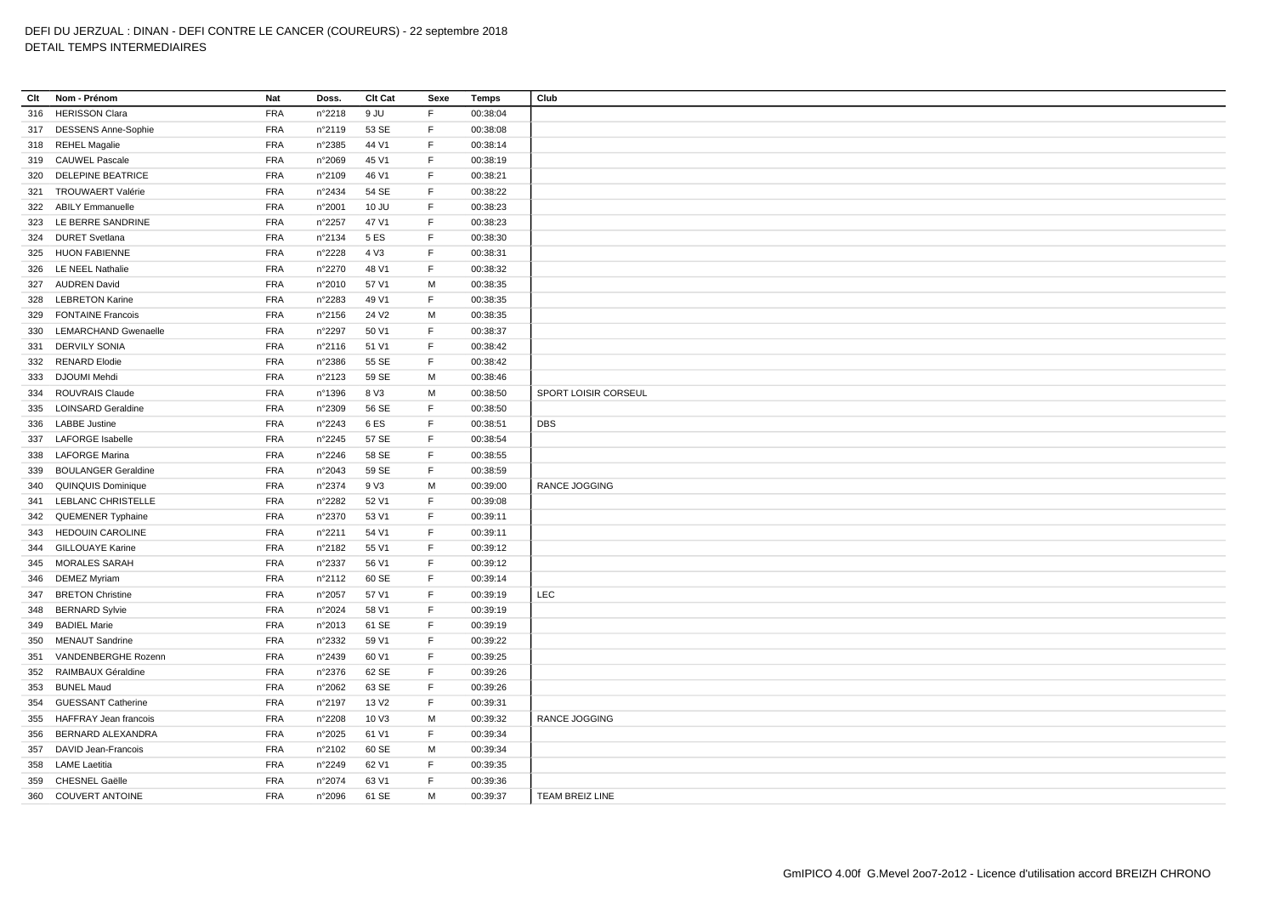| Clt | Nom - Prénom                 | Nat        | Doss.  | Clt Cat           | Sexe        | Temps    | Club                        |
|-----|------------------------------|------------|--------|-------------------|-------------|----------|-----------------------------|
| 316 | <b>HERISSON Clara</b>        | <b>FRA</b> | n°2218 | 9 JU              | F           | 00:38:04 |                             |
|     | 317 DESSENS Anne-Sophie      | <b>FRA</b> | n°2119 | 53 SE             | F           | 00:38:08 |                             |
| 318 | <b>REHEL Magalie</b>         | <b>FRA</b> | n°2385 | 44 V1             | F.          | 00:38:14 |                             |
|     | 319 CAUWEL Pascale           | <b>FRA</b> | n°2069 | 45 V1             | F           | 00:38:19 |                             |
| 320 | <b>DELEPINE BEATRICE</b>     | <b>FRA</b> | n°2109 | 46 V1             | F           | 00:38:21 |                             |
| 321 | <b>TROUWAERT Valérie</b>     | <b>FRA</b> | n°2434 | 54 SE             | $\mathsf F$ | 00:38:22 |                             |
|     | 322 ABILY Emmanuelle         | <b>FRA</b> | n°2001 | 10 JU             | F           | 00:38:23 |                             |
| 323 | LE BERRE SANDRINE            | <b>FRA</b> | n°2257 | 47 V1             | F           | 00:38:23 |                             |
| 324 | <b>DURET Svetlana</b>        | <b>FRA</b> | n°2134 | 5 ES              | $\mathsf F$ | 00:38:30 |                             |
|     | 325 HUON FABIENNE            | <b>FRA</b> | n°2228 | 4 V3              | F           | 00:38:31 |                             |
| 326 | <b>LE NEEL Nathalie</b>      | <b>FRA</b> | n°2270 | 48 V1             | F           | 00:38:32 |                             |
|     | 327 AUDREN David             | <b>FRA</b> | n°2010 | 57 V1             | M           | 00:38:35 |                             |
| 328 | <b>LEBRETON Karine</b>       | <b>FRA</b> | n°2283 | 49 V1             | F           | 00:38:35 |                             |
| 329 | <b>FONTAINE Francois</b>     | <b>FRA</b> | n°2156 | 24 V <sub>2</sub> | M           | 00:38:35 |                             |
| 330 | <b>LEMARCHAND Gwenaelle</b>  | <b>FRA</b> | n°2297 | 50 V1             | F           | 00:38:37 |                             |
| 331 | <b>DERVILY SONIA</b>         | <b>FRA</b> | n°2116 | 51 V1             | F           | 00:38:42 |                             |
|     | 332 RENARD Elodie            | <b>FRA</b> | n°2386 | 55 SE             | F           | 00:38:42 |                             |
|     | 333 DJOUMI Mehdi             | <b>FRA</b> | n°2123 | 59 SE             | М           | 00:38:46 |                             |
| 334 | ROUVRAIS Claude              | <b>FRA</b> | n°1396 | 8 V3              | M           | 00:38:50 | <b>SPORT LOISIR CORSEUL</b> |
| 335 | <b>LOINSARD Geraldine</b>    | <b>FRA</b> | n°2309 | 56 SE             | F.          | 00:38:50 |                             |
| 336 | <b>LABBE Justine</b>         | <b>FRA</b> | n°2243 | 6ES               | F           | 00:38:51 | <b>DBS</b>                  |
|     | <b>LAFORGE Isabelle</b>      | <b>FRA</b> |        | 57 SE             | F.          |          |                             |
| 337 |                              |            | n°2245 |                   | F           | 00:38:54 |                             |
|     | 338 LAFORGE Marina           | <b>FRA</b> | n°2246 | 58 SE             | $\mathsf F$ | 00:38:55 |                             |
| 339 | <b>BOULANGER Geraldine</b>   | <b>FRA</b> | n°2043 | 59 SE             |             | 00:38:59 |                             |
| 340 | <b>QUINQUIS Dominique</b>    | <b>FRA</b> | n°2374 | 9 V3              | M           | 00:39:00 | <b>RANCE JOGGING</b>        |
| 341 | LEBLANC CHRISTELLE           | <b>FRA</b> | n°2282 | 52 V1             | $\mathsf F$ | 00:39:08 |                             |
| 342 | QUEMENER Typhaine            | <b>FRA</b> | n°2370 | 53 V1             | F           | 00:39:11 |                             |
| 343 | <b>HEDOUIN CAROLINE</b>      | <b>FRA</b> | n°2211 | 54 V1             | F<br>E      | 00:39:11 |                             |
|     | 344 GILLOUAYE Karine         | <b>FRA</b> | n°2182 | 55 V1             |             | 00:39:12 |                             |
| 345 | <b>MORALES SARAH</b>         | <b>FRA</b> | n°2337 | 56 V1             | $\mathsf F$ | 00:39:12 |                             |
| 346 | <b>DEMEZ Myriam</b>          | <b>FRA</b> | n°2112 | 60 SE             | F           | 00:39:14 |                             |
| 347 | <b>BRETON Christine</b>      | <b>FRA</b> | n°2057 | 57 V1             | F           | 00:39:19 | LEC                         |
| 348 | <b>BERNARD Sylvie</b>        | <b>FRA</b> | n°2024 | 58 V1             | F           | 00:39:19 |                             |
| 349 | <b>BADIEL Marie</b>          | <b>FRA</b> | n°2013 | 61 SE             | F           | 00:39:19 |                             |
| 350 | <b>MENAUT Sandrine</b>       | <b>FRA</b> | n°2332 | 59 V1             | F           | 00:39:22 |                             |
| 351 | VANDENBERGHE Rozenn          | <b>FRA</b> | n°2439 | 60 V1             | E           | 00:39:25 |                             |
| 352 | RAIMBAUX Géraldine           | <b>FRA</b> | n°2376 | 62 SE             | F           | 00:39:26 |                             |
| 353 | <b>BUNEL Maud</b>            | <b>FRA</b> | n°2062 | 63 SE             | F           | 00:39:26 |                             |
| 354 | <b>GUESSANT Catherine</b>    | <b>FRA</b> | n°2197 | 13 V <sub>2</sub> | F           | 00:39:31 |                             |
| 355 | <b>HAFFRAY Jean francois</b> | <b>FRA</b> | n°2208 | 10 V3             | M           | 00:39:32 | RANCE JOGGING               |
| 356 | BERNARD ALEXANDRA            | <b>FRA</b> | n°2025 | 61 V1             | F           | 00:39:34 |                             |
| 357 | DAVID Jean-Francois          | <b>FRA</b> | n°2102 | 60 SE             | M           | 00:39:34 |                             |
| 358 | <b>LAME Laetitia</b>         | <b>FRA</b> | n°2249 | 62 V1             | $\mathsf F$ | 00:39:35 |                             |
| 359 | <b>CHESNEL Gaëlle</b>        | <b>FRA</b> | n°2074 | 63 V1             | E           | 00:39:36 |                             |
|     | 360 COUVERT ANTOINE          | <b>FRA</b> | n°2096 | 61 SE             | M           | 00:39:37 | <b>TEAM BREIZ LINE</b>      |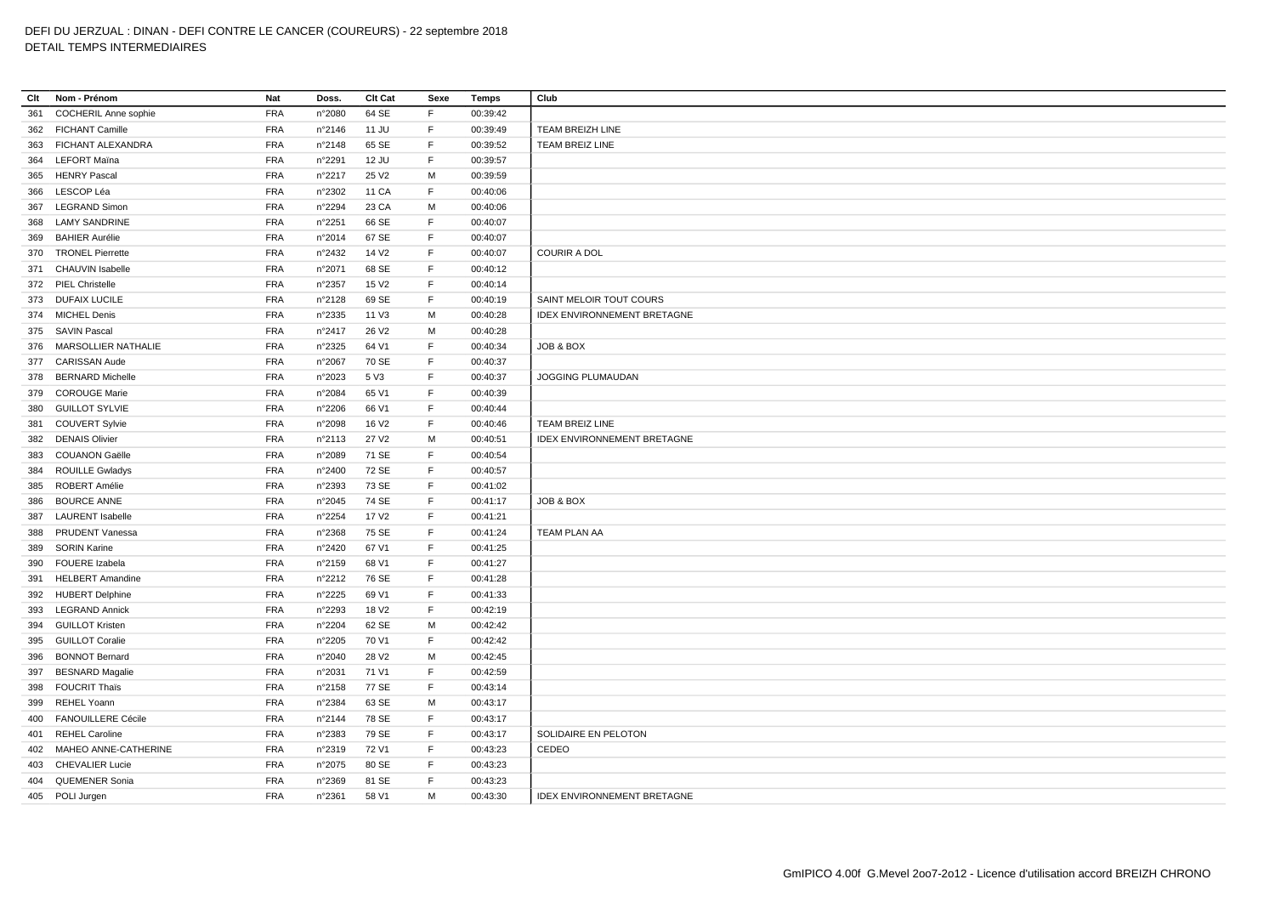| Clt | Nom - Prénom                | Nat        | Doss.  | Clt Cat           | Sexe | <b>Temps</b> | Club                               |
|-----|-----------------------------|------------|--------|-------------------|------|--------------|------------------------------------|
| 361 | <b>COCHERIL Anne sophie</b> | <b>FRA</b> | n°2080 | 64 SE             | F    | 00:39:42     |                                    |
|     | 362 FICHANT Camille         | <b>FRA</b> | n°2146 | 11 JU             | F    | 00:39:49     | TEAM BREIZH LINE                   |
| 363 | FICHANT ALEXANDRA           | <b>FRA</b> | n°2148 | 65 SE             | F.   | 00:39:52     | <b>TEAM BREIZ LINE</b>             |
| 364 | <b>LEFORT Maïna</b>         | <b>FRA</b> | n°2291 | 12 JU             | F.   | 00:39:57     |                                    |
| 365 | <b>HENRY Pascal</b>         | <b>FRA</b> | n°2217 | 25 V <sub>2</sub> | M    | 00:39:59     |                                    |
| 366 | LESCOP Léa                  | <b>FRA</b> | n°2302 | 11 CA             | F    | 00:40:06     |                                    |
| 367 | <b>LEGRAND Simon</b>        | <b>FRA</b> | n°2294 | 23 CA             | М    | 00:40:06     |                                    |
| 368 | <b>LAMY SANDRINE</b>        | <b>FRA</b> | n°2251 | 66 SE             | F.   | 00:40:07     |                                    |
| 369 | <b>BAHIER Aurélie</b>       | <b>FRA</b> | n°2014 | 67 SE             | F    | 00:40:07     |                                    |
|     | 370 TRONEL Pierrette        | <b>FRA</b> | n°2432 | 14 V <sub>2</sub> | F.   | 00:40:07     | <b>COURIR A DOL</b>                |
|     | 371 CHAUVIN Isabelle        | <b>FRA</b> | n°2071 | 68 SE             | F    | 00:40:12     |                                    |
|     | 372 PIEL Christelle         | <b>FRA</b> | n°2357 | 15 V <sub>2</sub> | F.   | 00:40:14     |                                    |
|     | 373 DUFAIX LUCILE           | <b>FRA</b> | n°2128 | 69 SE             | F.   | 00:40:19     | SAINT MELOIR TOUT COURS            |
|     | 374 MICHEL Denis            | <b>FRA</b> | n°2335 | 11 V3             | M    | 00:40:28     | <b>IDEX ENVIRONNEMENT BRETAGNE</b> |
|     | 375 SAVIN Pascal            | <b>FRA</b> | n°2417 | 26 V <sub>2</sub> | м    | 00:40:28     |                                    |
| 376 | MARSOLLIER NATHALIE         | <b>FRA</b> | n°2325 | 64 V1             | F    | 00:40:34     | JOB & BOX                          |
|     | 377 CARISSAN Aude           | <b>FRA</b> | n°2067 | 70 SE             | F    | 00:40:37     |                                    |
| 378 | <b>BERNARD Michelle</b>     | <b>FRA</b> | n°2023 | 5 V3              | F.   | 00:40:37     | JOGGING PLUMAUDAN                  |
|     | 379 COROUGE Marie           | <b>FRA</b> | n°2084 | 65 V1             | F    | 00:40:39     |                                    |
|     | 380 GUILLOT SYLVIE          | <b>FRA</b> | n°2206 | 66 V1             | F    | 00:40:44     |                                    |
| 381 | <b>COUVERT Sylvie</b>       | <b>FRA</b> | n°2098 | 16 V <sub>2</sub> | F.   | 00:40:46     | <b>TEAM BREIZ LINE</b>             |
|     | 382 DENAIS Olivier          | <b>FRA</b> | n°2113 | 27 V <sub>2</sub> | М    | 00:40:51     | <b>IDEX ENVIRONNEMENT BRETAGNE</b> |
| 383 | <b>COUANON Gaëlle</b>       | <b>FRA</b> | n°2089 | 71 SE             | F    | 00:40:54     |                                    |
| 384 | <b>ROUILLE Gwladys</b>      | <b>FRA</b> | n°2400 | 72 SE             | F    | 00:40:57     |                                    |
| 385 | ROBERT Amélie               | <b>FRA</b> | n°2393 | 73 SE             | F.   | 00:41:02     |                                    |
| 386 | <b>BOURCE ANNE</b>          | <b>FRA</b> | n°2045 | 74 SE             | F    | 00:41:17     | JOB & BOX                          |
| 387 | <b>LAURENT</b> Isabelle     | <b>FRA</b> | n°2254 | 17 V <sub>2</sub> | F    | 00:41:21     |                                    |
| 388 | PRUDENT Vanessa             | <b>FRA</b> | n°2368 | 75 SE             | F    | 00:41:24     | <b>TEAM PLAN AA</b>                |
| 389 | <b>SORIN Karine</b>         | <b>FRA</b> | n°2420 | 67 V1             | F.   | 00:41:25     |                                    |
| 390 | <b>FOUERE</b> Izabela       | <b>FRA</b> | n°2159 | 68 V1             | F    | 00:41:27     |                                    |
| 391 | <b>HELBERT Amandine</b>     | <b>FRA</b> | n°2212 | 76 SE             | F    | 00:41:28     |                                    |
|     | 392 HUBERT Delphine         | <b>FRA</b> | n°2225 | 69 V1             | F    | 00:41:33     |                                    |
|     | 393 LEGRAND Annick          | <b>FRA</b> | n°2293 | 18 V <sub>2</sub> | F    | 00:42:19     |                                    |
| 394 | <b>GUILLOT Kristen</b>      | <b>FRA</b> | n°2204 | 62 SE             | M    | 00:42:42     |                                    |
| 395 | <b>GUILLOT Coralie</b>      | <b>FRA</b> | n°2205 | 70 V1             | F    | 00:42:42     |                                    |
| 396 | <b>BONNOT Bernard</b>       | <b>FRA</b> | n°2040 | 28 V <sub>2</sub> | M    | 00:42:45     |                                    |
| 397 | <b>BESNARD Magalie</b>      | <b>FRA</b> | n°2031 | 71 V1             | F    | 00:42:59     |                                    |
| 398 | <b>FOUCRIT Thaïs</b>        | <b>FRA</b> | n°2158 | 77 SE             | F.   | 00:43:14     |                                    |
| 399 | <b>REHEL Yoann</b>          | <b>FRA</b> | n°2384 | 63 SE             | м    | 00:43:17     |                                    |
| 400 | <b>FANOUILLERE Cécile</b>   | <b>FRA</b> | n°2144 | 78 SE             | F    | 00:43:17     |                                    |
| 401 | <b>REHEL Caroline</b>       | <b>FRA</b> | n°2383 | 79 SE             | F    | 00:43:17     | SOLIDAIRE EN PELOTON               |
|     | 402 MAHEO ANNE-CATHERINE    | <b>FRA</b> | n°2319 | 72 V1             | F.   | 00:43:23     | CEDEO                              |
| 403 | <b>CHEVALIER Lucie</b>      | <b>FRA</b> | n°2075 | 80 SE             | F    | 00:43:23     |                                    |
|     | 404 QUEMENER Sonia          | <b>FRA</b> | n°2369 | 81 SE             | F    | 00:43:23     |                                    |
|     | 405 POLI Jurgen             | <b>FRA</b> | n°2361 | 58 V1             | M    | 00:43:30     | <b>IDEX ENVIRONNEMENT BRETAGNE</b> |
|     |                             |            |        |                   |      |              |                                    |